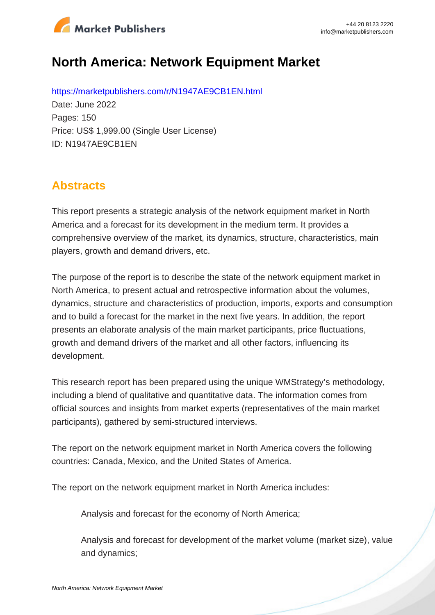

# **North America: Network Equipment Market**

https://marketpublishers.com/r/N1947AE9CB1EN.html Date: June 2022 Pages: 150 Price: US\$ 1,999.00 (Single User License) ID: N1947AE9CB1EN

## **Abstracts**

This report presents a strategic analysis of the network equipment market in North America and a forecast for its development in the medium term. It provides a comprehensive overview of the market, its dynamics, structure, characteristics, main players, growth and demand drivers, etc.

The purpose of the report is to describe the state of the network equipment market in North America, to present actual and retrospective information about the volumes, dynamics, structure and characteristics of production, imports, exports and consumption and to build a forecast for the market in the next five years. In addition, the report presents an elaborate analysis of the main market participants, price fluctuations, growth and demand drivers of the market and all other factors, influencing its development.

This research report has been prepared using the unique WMStrategy's methodology, including a blend of qualitative and quantitative data. The information comes from official sources and insights from market experts (representatives of the main market participants), gathered by semi-structured interviews.

The report on the network equipment market in North America covers the following countries: Canada, Mexico, and the United States of America.

The report on the network equipment market in North America includes:

Analysis and forecast for the economy of North America;

Analysis and forecast for development of the market volume (market size), value and dynamics;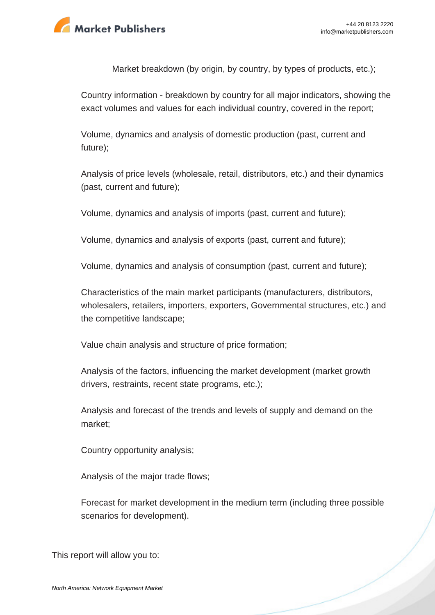

Market breakdown (by origin, by country, by types of products, etc.);

Country information - breakdown by country for all major indicators, showing the exact volumes and values for each individual country, covered in the report;

Volume, dynamics and analysis of domestic production (past, current and future);

Analysis of price levels (wholesale, retail, distributors, etc.) and their dynamics (past, current and future);

Volume, dynamics and analysis of imports (past, current and future);

Volume, dynamics and analysis of exports (past, current and future);

Volume, dynamics and analysis of consumption (past, current and future);

Characteristics of the main market participants (manufacturers, distributors, wholesalers, retailers, importers, exporters, Governmental structures, etc.) and the competitive landscape;

Value chain analysis and structure of price formation;

Analysis of the factors, influencing the market development (market growth drivers, restraints, recent state programs, etc.);

Analysis and forecast of the trends and levels of supply and demand on the market;

Country opportunity analysis;

Analysis of the major trade flows;

Forecast for market development in the medium term (including three possible scenarios for development).

This report will allow you to: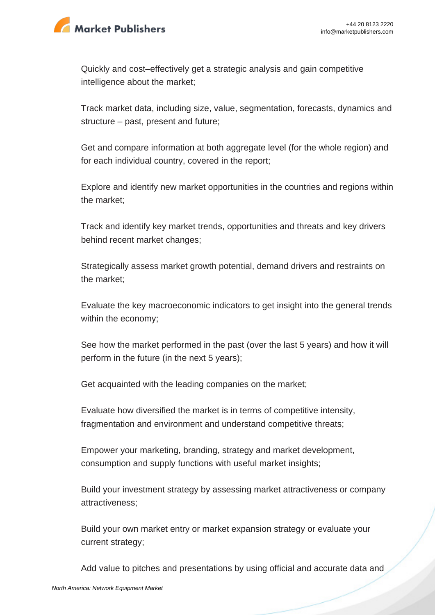

Quickly and cost–effectively get a strategic analysis and gain competitive intelligence about the market;

Track market data, including size, value, segmentation, forecasts, dynamics and structure – past, present and future;

Get and compare information at both aggregate level (for the whole region) and for each individual country, covered in the report;

Explore and identify new market opportunities in the countries and regions within the market;

Track and identify key market trends, opportunities and threats and key drivers behind recent market changes;

Strategically assess market growth potential, demand drivers and restraints on the market;

Evaluate the key macroeconomic indicators to get insight into the general trends within the economy;

See how the market performed in the past (over the last 5 years) and how it will perform in the future (in the next 5 years);

Get acquainted with the leading companies on the market;

Evaluate how diversified the market is in terms of competitive intensity, fragmentation and environment and understand competitive threats;

Empower your marketing, branding, strategy and market development, consumption and supply functions with useful market insights;

Build your investment strategy by assessing market attractiveness or company attractiveness;

Build your own market entry or market expansion strategy or evaluate your current strategy;

Add value to pitches and presentations by using official and accurate data and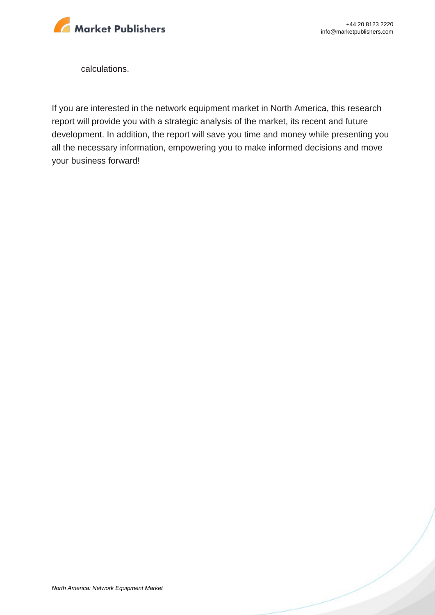

calculations.

If you are interested in the network equipment market in North America, this research report will provide you with a strategic analysis of the market, its recent and future development. In addition, the report will save you time and money while presenting you all the necessary information, empowering you to make informed decisions and move your business forward!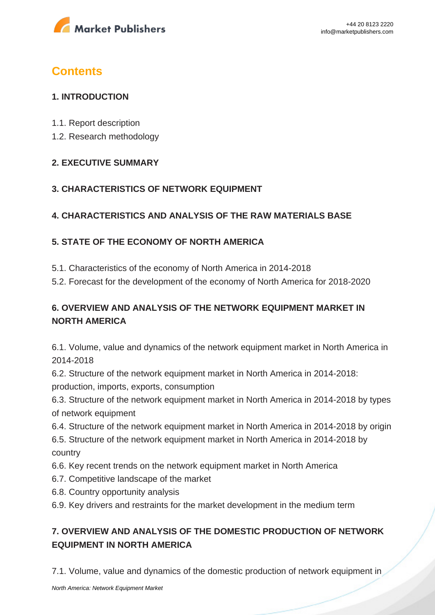

# **Contents**

#### **1. INTRODUCTION**

- 1.1. Report description
- 1.2. Research methodology

#### **2. EXECUTIVE SUMMARY**

#### **3. CHARACTERISTICS OF NETWORK EQUIPMENT**

### **4. CHARACTERISTICS AND ANALYSIS OF THE RAW MATERIALS BASE**

### **5. STATE OF THE ECONOMY OF NORTH AMERICA**

5.1. Characteristics of the economy of North America in 2014-2018

5.2. Forecast for the development of the economy of North America for 2018-2020

### **6. OVERVIEW AND ANALYSIS OF THE NETWORK EQUIPMENT MARKET IN NORTH AMERICA**

6.1. Volume, value and dynamics of the network equipment market in North America in 2014-2018

6.2. Structure of the network equipment market in North America in 2014-2018: production, imports, exports, consumption

6.3. Structure of the network equipment market in North America in 2014-2018 by types of network equipment

6.4. Structure of the network equipment market in North America in 2014-2018 by origin

6.5. Structure of the network equipment market in North America in 2014-2018 by country

- 6.6. Key recent trends on the network equipment market in North America
- 6.7. Competitive landscape of the market
- 6.8. Country opportunity analysis
- 6.9. Key drivers and restraints for the market development in the medium term

## **7. OVERVIEW AND ANALYSIS OF THE DOMESTIC PRODUCTION OF NETWORK EQUIPMENT IN NORTH AMERICA**

7.1. Volume, value and dynamics of the domestic production of network equipment in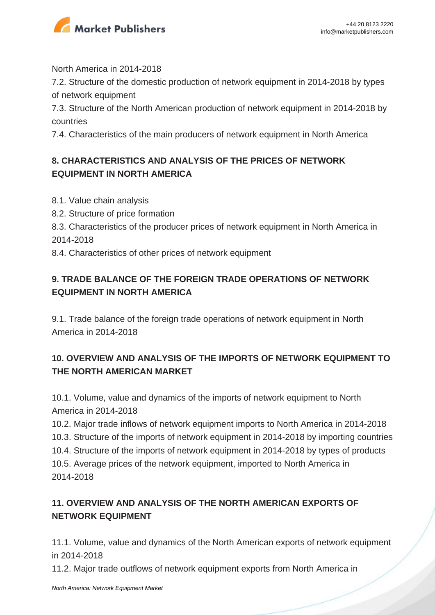

North America in 2014-2018

7.2. Structure of the domestic production of network equipment in 2014-2018 by types of network equipment

7.3. Structure of the North American production of network equipment in 2014-2018 by countries

7.4. Characteristics of the main producers of network equipment in North America

### **8. CHARACTERISTICS AND ANALYSIS OF THE PRICES OF NETWORK EQUIPMENT IN NORTH AMERICA**

- 8.1. Value chain analysis
- 8.2. Structure of price formation
- 8.3. Characteristics of the producer prices of network equipment in North America in 2014-2018
- 8.4. Characteristics of other prices of network equipment

## **9. TRADE BALANCE OF THE FOREIGN TRADE OPERATIONS OF NETWORK EQUIPMENT IN NORTH AMERICA**

9.1. Trade balance of the foreign trade operations of network equipment in North America in 2014-2018

## **10. OVERVIEW AND ANALYSIS OF THE IMPORTS OF NETWORK EQUIPMENT TO THE NORTH AMERICAN MARKET**

10.1. Volume, value and dynamics of the imports of network equipment to North America in 2014-2018

10.2. Major trade inflows of network equipment imports to North America in 2014-2018 10.3. Structure of the imports of network equipment in 2014-2018 by importing countries 10.4. Structure of the imports of network equipment in 2014-2018 by types of products 10.5. Average prices of the network equipment, imported to North America in 2014-2018

## **11. OVERVIEW AND ANALYSIS OF THE NORTH AMERICAN EXPORTS OF NETWORK EQUIPMENT**

11.1. Volume, value and dynamics of the North American exports of network equipment in 2014-2018

11.2. Major trade outflows of network equipment exports from North America in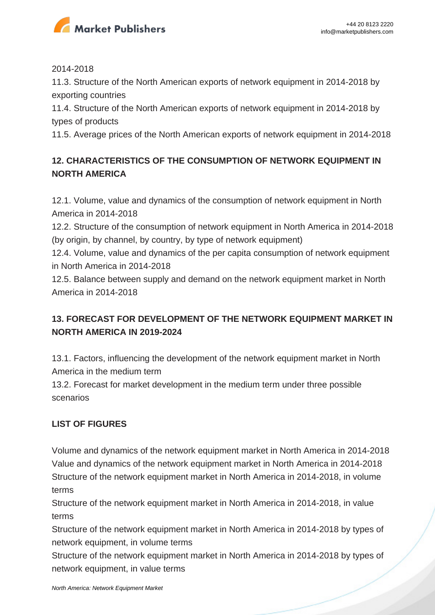

#### 2014-2018

11.3. Structure of the North American exports of network equipment in 2014-2018 by exporting countries

11.4. Structure of the North American exports of network equipment in 2014-2018 by types of products

11.5. Average prices of the North American exports of network equipment in 2014-2018

## **12. CHARACTERISTICS OF THE CONSUMPTION OF NETWORK EQUIPMENT IN NORTH AMERICA**

12.1. Volume, value and dynamics of the consumption of network equipment in North America in 2014-2018

12.2. Structure of the consumption of network equipment in North America in 2014-2018 (by origin, by channel, by country, by type of network equipment)

12.4. Volume, value and dynamics of the per capita consumption of network equipment in North America in 2014-2018

12.5. Balance between supply and demand on the network equipment market in North America in 2014-2018

## **13. FORECAST FOR DEVELOPMENT OF THE NETWORK EQUIPMENT MARKET IN NORTH AMERICA IN 2019-2024**

13.1. Factors, influencing the development of the network equipment market in North America in the medium term

13.2. Forecast for market development in the medium term under three possible scenarios

### **LIST OF FIGURES**

Volume and dynamics of the network equipment market in North America in 2014-2018 Value and dynamics of the network equipment market in North America in 2014-2018 Structure of the network equipment market in North America in 2014-2018, in volume terms

Structure of the network equipment market in North America in 2014-2018, in value terms

Structure of the network equipment market in North America in 2014-2018 by types of network equipment, in volume terms

Structure of the network equipment market in North America in 2014-2018 by types of network equipment, in value terms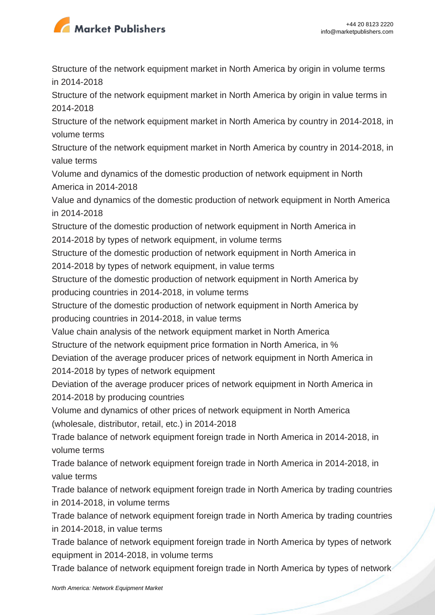

Structure of the network equipment market in North America by origin in volume terms in 2014-2018

Structure of the network equipment market in North America by origin in value terms in 2014-2018

Structure of the network equipment market in North America by country in 2014-2018, in volume terms

Structure of the network equipment market in North America by country in 2014-2018, in value terms

Volume and dynamics of the domestic production of network equipment in North America in 2014-2018

Value and dynamics of the domestic production of network equipment in North America in 2014-2018

Structure of the domestic production of network equipment in North America in 2014-2018 by types of network equipment, in volume terms

Structure of the domestic production of network equipment in North America in 2014-2018 by types of network equipment, in value terms

Structure of the domestic production of network equipment in North America by producing countries in 2014-2018, in volume terms

Structure of the domestic production of network equipment in North America by producing countries in 2014-2018, in value terms

Value chain analysis of the network equipment market in North America

Structure of the network equipment price formation in North America, in %

Deviation of the average producer prices of network equipment in North America in 2014-2018 by types of network equipment

Deviation of the average producer prices of network equipment in North America in 2014-2018 by producing countries

Volume and dynamics of other prices of network equipment in North America (wholesale, distributor, retail, etc.) in 2014-2018

Trade balance of network equipment foreign trade in North America in 2014-2018, in volume terms

Trade balance of network equipment foreign trade in North America in 2014-2018, in value terms

Trade balance of network equipment foreign trade in North America by trading countries in 2014-2018, in volume terms

Trade balance of network equipment foreign trade in North America by trading countries in 2014-2018, in value terms

Trade balance of network equipment foreign trade in North America by types of network equipment in 2014-2018, in volume terms

Trade balance of network equipment foreign trade in North America by types of network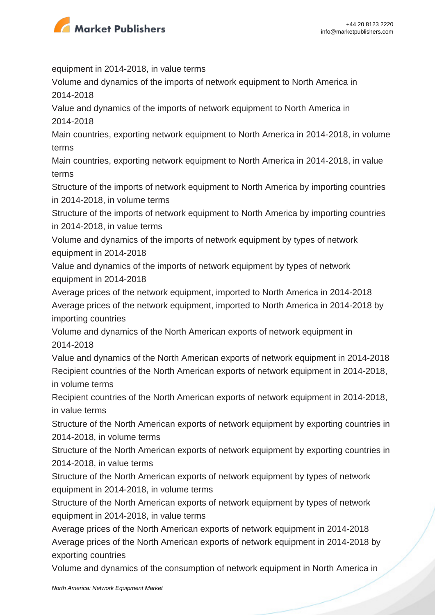

equipment in 2014-2018, in value terms

Volume and dynamics of the imports of network equipment to North America in 2014-2018

Value and dynamics of the imports of network equipment to North America in 2014-2018

Main countries, exporting network equipment to North America in 2014-2018, in volume terms

Main countries, exporting network equipment to North America in 2014-2018, in value terms

Structure of the imports of network equipment to North America by importing countries in 2014-2018, in volume terms

Structure of the imports of network equipment to North America by importing countries in 2014-2018, in value terms

Volume and dynamics of the imports of network equipment by types of network equipment in 2014-2018

Value and dynamics of the imports of network equipment by types of network equipment in 2014-2018

Average prices of the network equipment, imported to North America in 2014-2018 Average prices of the network equipment, imported to North America in 2014-2018 by importing countries

Volume and dynamics of the North American exports of network equipment in 2014-2018

Value and dynamics of the North American exports of network equipment in 2014-2018 Recipient countries of the North American exports of network equipment in 2014-2018, in volume terms

Recipient countries of the North American exports of network equipment in 2014-2018, in value terms

Structure of the North American exports of network equipment by exporting countries in 2014-2018, in volume terms

Structure of the North American exports of network equipment by exporting countries in 2014-2018, in value terms

Structure of the North American exports of network equipment by types of network equipment in 2014-2018, in volume terms

Structure of the North American exports of network equipment by types of network equipment in 2014-2018, in value terms

Average prices of the North American exports of network equipment in 2014-2018 Average prices of the North American exports of network equipment in 2014-2018 by exporting countries

Volume and dynamics of the consumption of network equipment in North America in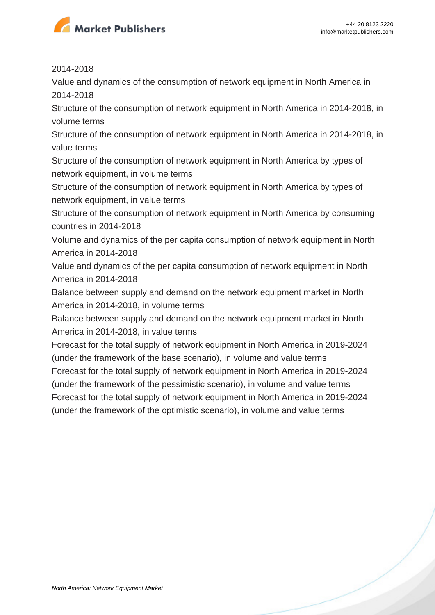

2014-2018

Value and dynamics of the consumption of network equipment in North America in 2014-2018

Structure of the consumption of network equipment in North America in 2014-2018, in volume terms

Structure of the consumption of network equipment in North America in 2014-2018, in value terms

Structure of the consumption of network equipment in North America by types of network equipment, in volume terms

Structure of the consumption of network equipment in North America by types of network equipment, in value terms

Structure of the consumption of network equipment in North America by consuming countries in 2014-2018

Volume and dynamics of the per capita consumption of network equipment in North America in 2014-2018

Value and dynamics of the per capita consumption of network equipment in North America in 2014-2018

Balance between supply and demand on the network equipment market in North America in 2014-2018, in volume terms

Balance between supply and demand on the network equipment market in North America in 2014-2018, in value terms

Forecast for the total supply of network equipment in North America in 2019-2024 (under the framework of the base scenario), in volume and value terms

Forecast for the total supply of network equipment in North America in 2019-2024 (under the framework of the pessimistic scenario), in volume and value terms

Forecast for the total supply of network equipment in North America in 2019-2024 (under the framework of the optimistic scenario), in volume and value terms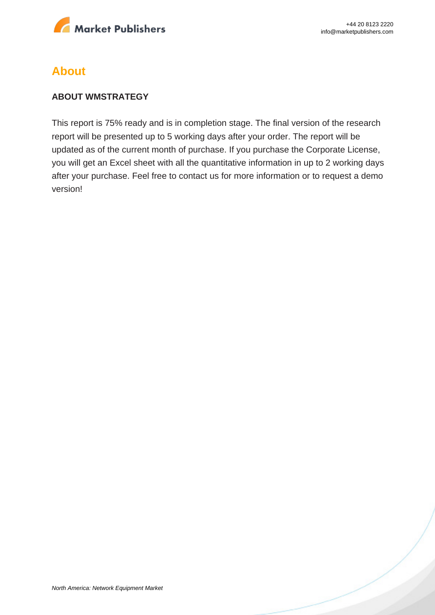

## **About**

#### **ABOUT WMSTRATEGY**

This report is 75% ready and is in completion stage. The final version of the research report will be presented up to 5 working days after your order. The report will be updated as of the current month of purchase. If you purchase the Corporate License, you will get an Excel sheet with all the quantitative information in up to 2 working days after your purchase. Feel free to contact us for more information or to request a demo version!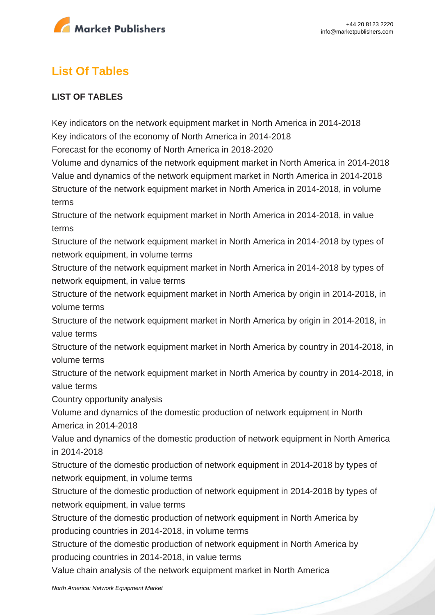

# **List Of Tables**

#### **LIST OF TABLES**

Key indicators on the network equipment market in North America in 2014-2018 Key indicators of the economy of North America in 2014-2018

Forecast for the economy of North America in 2018-2020

Volume and dynamics of the network equipment market in North America in 2014-2018 Value and dynamics of the network equipment market in North America in 2014-2018 Structure of the network equipment market in North America in 2014-2018, in volume terms

Structure of the network equipment market in North America in 2014-2018, in value terms

Structure of the network equipment market in North America in 2014-2018 by types of network equipment, in volume terms

Structure of the network equipment market in North America in 2014-2018 by types of network equipment, in value terms

Structure of the network equipment market in North America by origin in 2014-2018, in volume terms

Structure of the network equipment market in North America by origin in 2014-2018, in value terms

Structure of the network equipment market in North America by country in 2014-2018, in volume terms

Structure of the network equipment market in North America by country in 2014-2018, in value terms

Country opportunity analysis

Volume and dynamics of the domestic production of network equipment in North America in 2014-2018

Value and dynamics of the domestic production of network equipment in North America in 2014-2018

Structure of the domestic production of network equipment in 2014-2018 by types of network equipment, in volume terms

Structure of the domestic production of network equipment in 2014-2018 by types of network equipment, in value terms

Structure of the domestic production of network equipment in North America by producing countries in 2014-2018, in volume terms

Structure of the domestic production of network equipment in North America by producing countries in 2014-2018, in value terms

Value chain analysis of the network equipment market in North America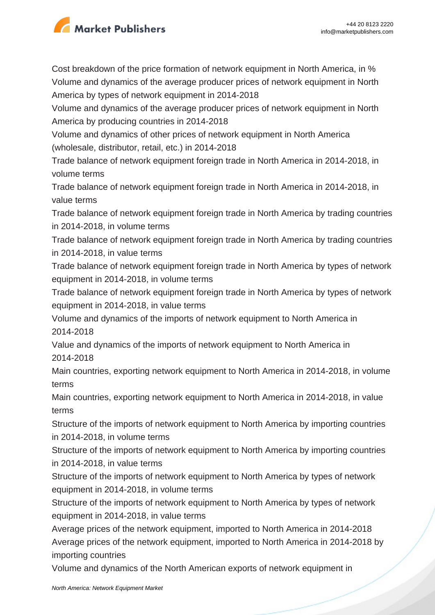

Cost breakdown of the price formation of network equipment in North America, in % Volume and dynamics of the average producer prices of network equipment in North America by types of network equipment in 2014-2018

Volume and dynamics of the average producer prices of network equipment in North America by producing countries in 2014-2018

Volume and dynamics of other prices of network equipment in North America (wholesale, distributor, retail, etc.) in 2014-2018

Trade balance of network equipment foreign trade in North America in 2014-2018, in volume terms

Trade balance of network equipment foreign trade in North America in 2014-2018, in value terms

Trade balance of network equipment foreign trade in North America by trading countries in 2014-2018, in volume terms

Trade balance of network equipment foreign trade in North America by trading countries in 2014-2018, in value terms

Trade balance of network equipment foreign trade in North America by types of network equipment in 2014-2018, in volume terms

Trade balance of network equipment foreign trade in North America by types of network equipment in 2014-2018, in value terms

Volume and dynamics of the imports of network equipment to North America in 2014-2018

Value and dynamics of the imports of network equipment to North America in 2014-2018

Main countries, exporting network equipment to North America in 2014-2018, in volume terms

Main countries, exporting network equipment to North America in 2014-2018, in value terms

Structure of the imports of network equipment to North America by importing countries in 2014-2018, in volume terms

Structure of the imports of network equipment to North America by importing countries in 2014-2018, in value terms

Structure of the imports of network equipment to North America by types of network equipment in 2014-2018, in volume terms

Structure of the imports of network equipment to North America by types of network equipment in 2014-2018, in value terms

Average prices of the network equipment, imported to North America in 2014-2018 Average prices of the network equipment, imported to North America in 2014-2018 by importing countries

Volume and dynamics of the North American exports of network equipment in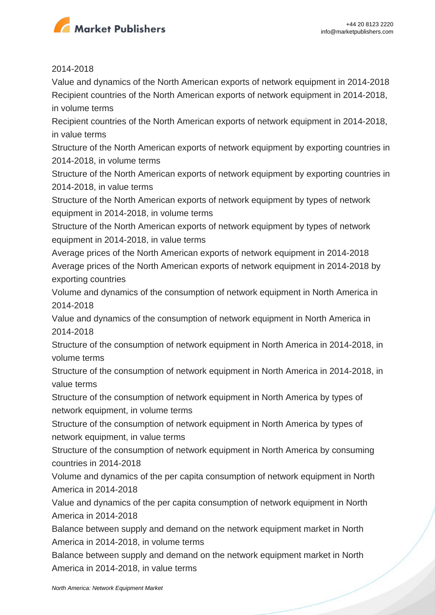

#### 2014-2018

Value and dynamics of the North American exports of network equipment in 2014-2018 Recipient countries of the North American exports of network equipment in 2014-2018, in volume terms

Recipient countries of the North American exports of network equipment in 2014-2018, in value terms

Structure of the North American exports of network equipment by exporting countries in 2014-2018, in volume terms

Structure of the North American exports of network equipment by exporting countries in 2014-2018, in value terms

Structure of the North American exports of network equipment by types of network equipment in 2014-2018, in volume terms

Structure of the North American exports of network equipment by types of network equipment in 2014-2018, in value terms

Average prices of the North American exports of network equipment in 2014-2018 Average prices of the North American exports of network equipment in 2014-2018 by exporting countries

Volume and dynamics of the consumption of network equipment in North America in 2014-2018

Value and dynamics of the consumption of network equipment in North America in 2014-2018

Structure of the consumption of network equipment in North America in 2014-2018, in volume terms

Structure of the consumption of network equipment in North America in 2014-2018, in value terms

Structure of the consumption of network equipment in North America by types of network equipment, in volume terms

Structure of the consumption of network equipment in North America by types of network equipment, in value terms

Structure of the consumption of network equipment in North America by consuming countries in 2014-2018

Volume and dynamics of the per capita consumption of network equipment in North America in 2014-2018

Value and dynamics of the per capita consumption of network equipment in North America in 2014-2018

Balance between supply and demand on the network equipment market in North America in 2014-2018, in volume terms

Balance between supply and demand on the network equipment market in North America in 2014-2018, in value terms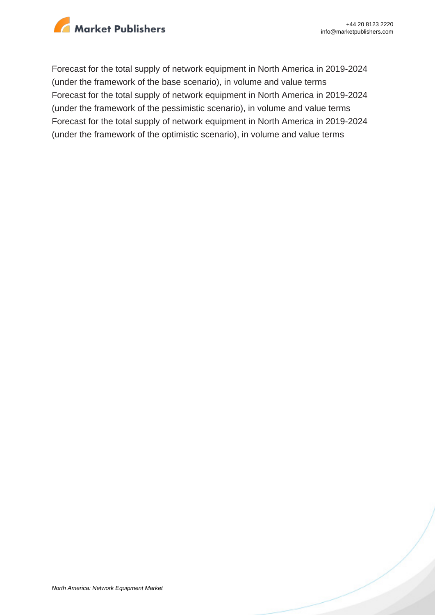

Forecast for the total supply of network equipment in North America in 2019-2024 (under the framework of the base scenario), in volume and value terms Forecast for the total supply of network equipment in North America in 2019-2024 (under the framework of the pessimistic scenario), in volume and value terms Forecast for the total supply of network equipment in North America in 2019-2024 (under the framework of the optimistic scenario), in volume and value terms